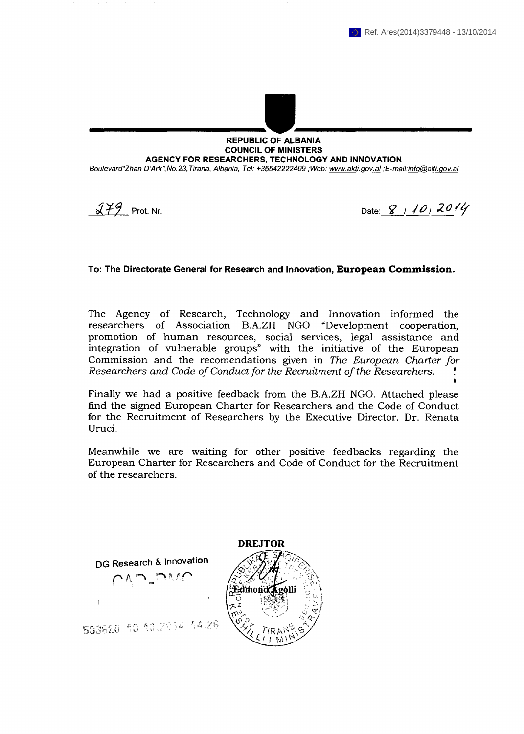## **REPUBLIC OF ALBANIA COUNCIL OF MINISTERS** AGENCY FOR RESEARCHERS, TECHNOLOGY AND INNOVATION

Boulevard"Zhan D'Ark", No.23, Tirana, Albania, Tel: +35542222409; Web: www.akti.gov.al ;E-mail:info@alti.gov.al

 $279$  Prot. Nr.

Date: 8 10 2014

## To: The Directorate General for Research and Innovation, European Commission.

The Agency of Research, Technology and Innovation informed the researchers of Association B.A.ZH NGO "Development cooperation, promotion of human resources, social services, legal assistance and integration of vulnerable groups" with the initiative of the European Commission and the recomendations given in The European Charter for Researchers and Code of Conduct for the Recruitment of the Researchers.

Finally we had a positive feedback from the B.A.ZH NGO. Attached please find the signed European Charter for Researchers and the Code of Conduct for the Recruitment of Researchers by the Executive Director. Dr. Renata Uruci.

Meanwhile we are waiting for other positive feedbacks regarding the European Charter for Researchers and Code of Conduct for the Recruitment of the researchers.

DG Research & Innovation



533620 13.10.2014 14:26